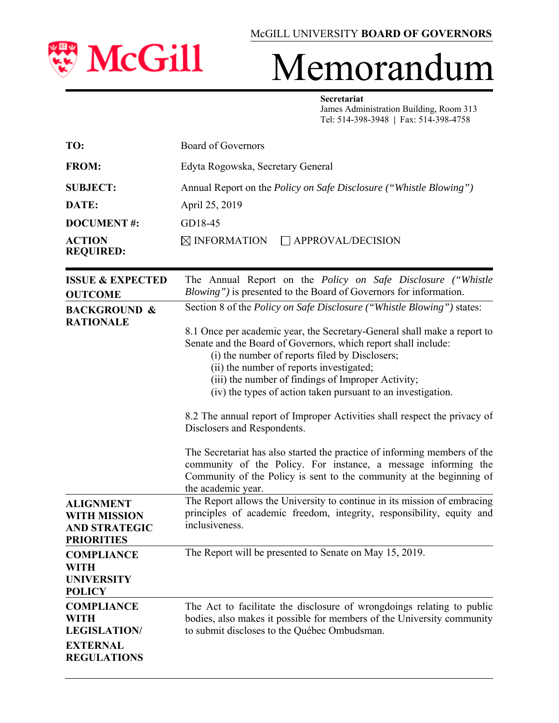

# Memorandum

#### **Secretariat**

 James Administration Building, Room 313 Tel: 514-398-3948 **|** Fax: 514-398-4758

| TO:                        | Board of Governors                                                        |  |  |  |
|----------------------------|---------------------------------------------------------------------------|--|--|--|
| <b>FROM:</b>               | Edyta Rogowska, Secretary General                                         |  |  |  |
| <b>SUBJECT:</b>            | Annual Report on the <i>Policy on Safe Disclosure</i> ("Whistle Blowing") |  |  |  |
| DATE:                      | April 25, 2019                                                            |  |  |  |
| <b>DOCUMENT#:</b>          | GD18-45                                                                   |  |  |  |
| ACTION<br><b>REQUIRED:</b> | $\boxtimes$ INFORMATION<br>$\Box$ APPROVAL/DECISION                       |  |  |  |

| <b>ISSUE &amp; EXPECTED</b><br><b>OUTCOME</b>                                                                                   | The Annual Report on the Policy on Safe Disclosure ("Whistle<br>Blowing") is presented to the Board of Governors for information.                                                                                                                                                                                                                                                                                                                                                                                                                                                                                                                                                                                                                                                  |  |  |  |
|---------------------------------------------------------------------------------------------------------------------------------|------------------------------------------------------------------------------------------------------------------------------------------------------------------------------------------------------------------------------------------------------------------------------------------------------------------------------------------------------------------------------------------------------------------------------------------------------------------------------------------------------------------------------------------------------------------------------------------------------------------------------------------------------------------------------------------------------------------------------------------------------------------------------------|--|--|--|
| <b>BACKGROUND &amp;</b><br><b>RATIONALE</b>                                                                                     | Section 8 of the <i>Policy on Safe Disclosure</i> ("Whistle Blowing") states:<br>8.1 Once per academic year, the Secretary-General shall make a report to<br>Senate and the Board of Governors, which report shall include:<br>(i) the number of reports filed by Disclosers;<br>(ii) the number of reports investigated;<br>(iii) the number of findings of Improper Activity;<br>(iv) the types of action taken pursuant to an investigation.<br>8.2 The annual report of Improper Activities shall respect the privacy of<br>Disclosers and Respondents.<br>The Secretariat has also started the practice of informing members of the<br>community of the Policy. For instance, a message informing the<br>Community of the Policy is sent to the community at the beginning of |  |  |  |
| <b>ALIGNMENT</b><br><b>WITH MISSION</b><br><b>AND STRATEGIC</b><br><b>PRIORITIES</b><br><b>COMPLIANCE</b>                       | the academic year.<br>The Report allows the University to continue in its mission of embracing<br>principles of academic freedom, integrity, responsibility, equity and<br>inclusiveness.<br>The Report will be presented to Senate on May 15, 2019.                                                                                                                                                                                                                                                                                                                                                                                                                                                                                                                               |  |  |  |
| <b>WITH</b><br><b>UNIVERSITY</b><br><b>POLICY</b><br><b>COMPLIANCE</b><br><b>WITH</b><br><b>LEGISLATION/</b><br><b>EXTERNAL</b> | The Act to facilitate the disclosure of wrongdoings relating to public<br>bodies, also makes it possible for members of the University community<br>to submit discloses to the Québec Ombudsman.                                                                                                                                                                                                                                                                                                                                                                                                                                                                                                                                                                                   |  |  |  |
| <b>REGULATIONS</b>                                                                                                              |                                                                                                                                                                                                                                                                                                                                                                                                                                                                                                                                                                                                                                                                                                                                                                                    |  |  |  |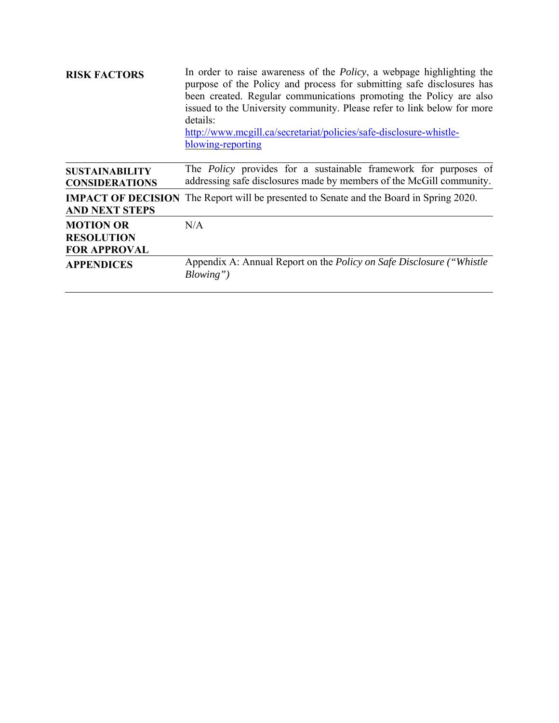| <b>RISK FACTORS</b>                                          | In order to raise awareness of the <i>Policy</i> , a webpage highlighting the<br>purpose of the Policy and process for submitting safe disclosures has<br>been created. Regular communications promoting the Policy are also<br>issued to the University community. Please refer to link below for more<br>details:<br>http://www.mcgill.ca/secretariat/policies/safe-disclosure-whistle-<br>blowing-reporting |  |  |  |  |
|--------------------------------------------------------------|----------------------------------------------------------------------------------------------------------------------------------------------------------------------------------------------------------------------------------------------------------------------------------------------------------------------------------------------------------------------------------------------------------------|--|--|--|--|
| <b>SUSTAINABILITY</b><br><b>CONSIDERATIONS</b>               | The <i>Policy</i> provides for a sustainable framework for purposes of<br>addressing safe disclosures made by members of the McGill community.                                                                                                                                                                                                                                                                 |  |  |  |  |
| <b>AND NEXT STEPS</b>                                        | <b>IMPACT OF DECISION</b> The Report will be presented to Senate and the Board in Spring 2020.                                                                                                                                                                                                                                                                                                                 |  |  |  |  |
| <b>MOTION OR</b><br><b>RESOLUTION</b><br><b>FOR APPROVAL</b> | N/A                                                                                                                                                                                                                                                                                                                                                                                                            |  |  |  |  |
| <b>APPENDICES</b>                                            | Appendix A: Annual Report on the <i>Policy on Safe Disclosure</i> ("Whistle"<br>$Blowing$ ")                                                                                                                                                                                                                                                                                                                   |  |  |  |  |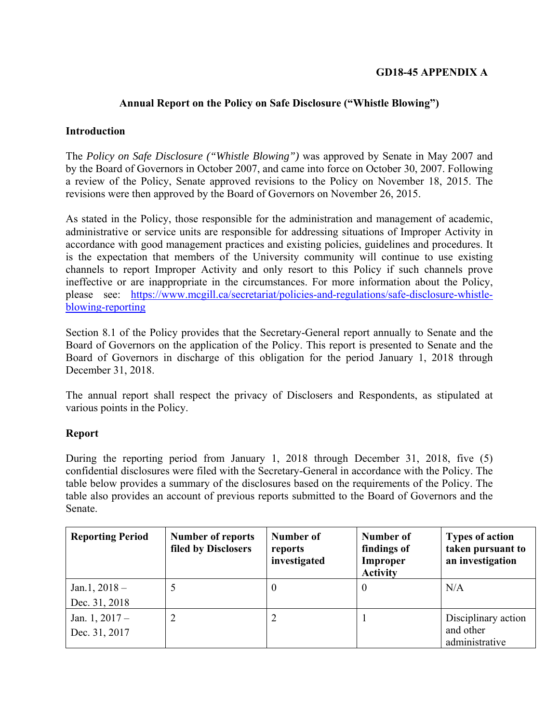# **GD18-45 APPENDIX A**

## **Annual Report on the Policy on Safe Disclosure ("Whistle Blowing")**

### **Introduction**

The *Policy on Safe Disclosure ("Whistle Blowing")* was approved by Senate in May 2007 and by the Board of Governors in October 2007, and came into force on October 30, 2007. Following a review of the Policy, Senate approved revisions to the Policy on November 18, 2015. The revisions were then approved by the Board of Governors on November 26, 2015.

As stated in the Policy, those responsible for the administration and management of academic, administrative or service units are responsible for addressing situations of Improper Activity in accordance with good management practices and existing policies, guidelines and procedures. It is the expectation that members of the University community will continue to use existing channels to report Improper Activity and only resort to this Policy if such channels prove ineffective or are inappropriate in the circumstances. For more information about the Policy, please see: https://www.mcgill.ca/secretariat/policies-and-regulations/safe-disclosure-whistleblowing-reporting

Section 8.1 of the Policy provides that the Secretary-General report annually to Senate and the Board of Governors on the application of the Policy. This report is presented to Senate and the Board of Governors in discharge of this obligation for the period January 1, 2018 through December 31, 2018.

The annual report shall respect the privacy of Disclosers and Respondents, as stipulated at various points in the Policy.

### **Report**

During the reporting period from January 1, 2018 through December 31, 2018, five (5) confidential disclosures were filed with the Secretary-General in accordance with the Policy. The table below provides a summary of the disclosures based on the requirements of the Policy. The table also provides an account of previous reports submitted to the Board of Governors and the Senate.

| <b>Reporting Period</b> | <b>Number of reports</b><br>filed by Disclosers | Number of<br>reports<br>investigated | Number of<br>findings of<br>Improper<br><b>Activity</b> | <b>Types of action</b><br>taken pursuant to<br>an investigation |
|-------------------------|-------------------------------------------------|--------------------------------------|---------------------------------------------------------|-----------------------------------------------------------------|
| Jan.1, $2018 -$         |                                                 | $\left($                             | $\theta$                                                | N/A                                                             |
| Dec. 31, 2018           |                                                 |                                      |                                                         |                                                                 |
| Jan. $1, 2017 -$        | 2                                               |                                      |                                                         | Disciplinary action                                             |
| Dec. 31, 2017           |                                                 |                                      |                                                         | and other<br>administrative                                     |